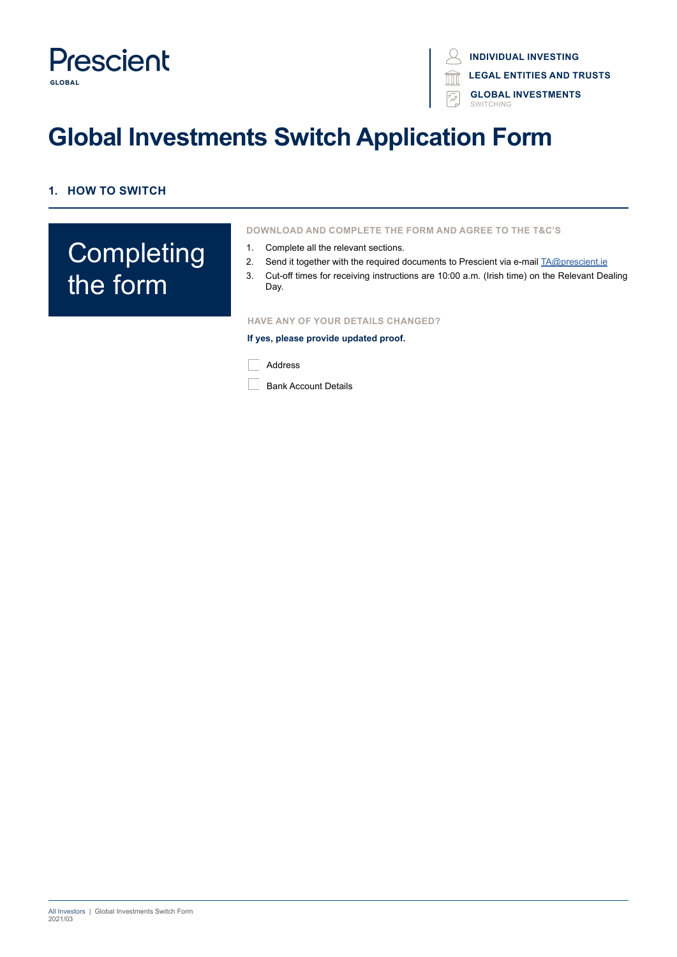

**LEGAL ENTITIES AND TRUSTS**

**GLOBAL INVESTMENTS** SWITCHING

# **Global Investments Switch Application Form**

## **1. HOW TO SWITCH**

# **Completing** the form

**DOWNLOAD AND COMPLETE THE FORM AND AGREE TO THE T&C'S**

- 1. Complete all the relevant sections.
- 2. Send it together with the required documents to Prescient via e-mail TA@prescient.ie
- 3. Cut-off times for receiving instructions are 10:00 a.m. (Irish time) on the Relevant Dealing Day.

#### **HAVE ANY OF YOUR DETAILS CHANGED?**

**If yes, please provide updated proof.**

**Address** 

**Bank Account Details**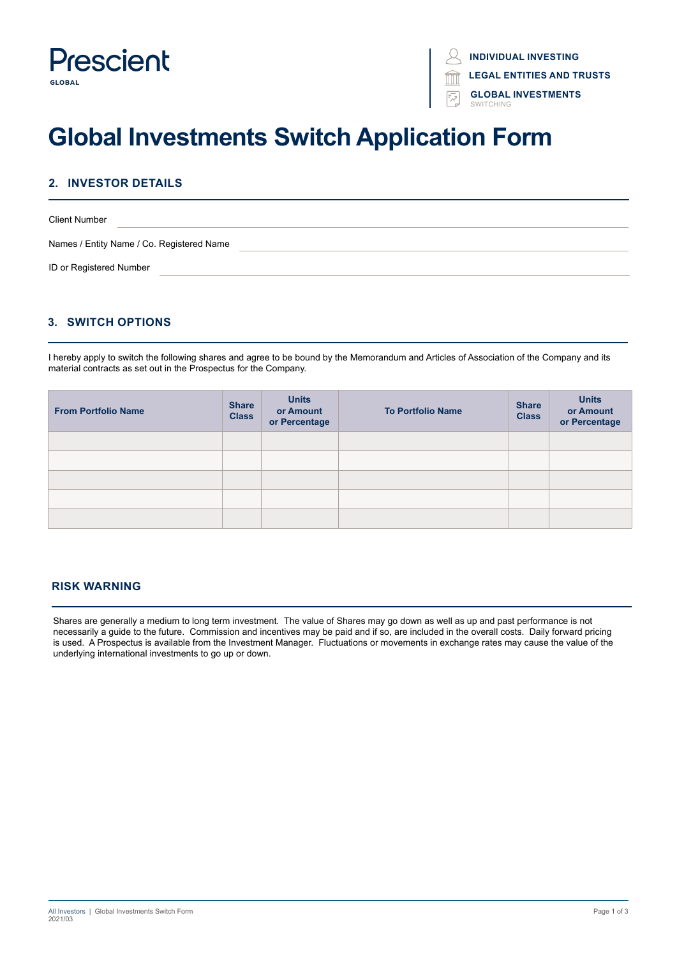

**INDIVIDUAL INVESTING LEGAL ENTITIES AND TRUSTS**

> **GLOBAL INVESTMENTS** SWITCHING

# **Global Investments Switch Application Form**

### **2. INVESTOR DETAILS**

| <b>Client Number</b>                      |  |
|-------------------------------------------|--|
| Names / Entity Name / Co. Registered Name |  |
| ID or Registered Number                   |  |

### **3. SWITCH OPTIONS**

I hereby apply to switch the following shares and agree to be bound by the Memorandum and Articles of Association of the Company and its material contracts as set out in the Prospectus for the Company.

| <b>From Portfolio Name</b> | <b>Share</b><br><b>Class</b> | <b>Units</b><br>or Amount<br>or Percentage | <b>To Portfolio Name</b> | <b>Share</b><br><b>Class</b> | <b>Units</b><br>or Amount<br>or Percentage |
|----------------------------|------------------------------|--------------------------------------------|--------------------------|------------------------------|--------------------------------------------|
|                            |                              |                                            |                          |                              |                                            |
|                            |                              |                                            |                          |                              |                                            |
|                            |                              |                                            |                          |                              |                                            |
|                            |                              |                                            |                          |                              |                                            |
|                            |                              |                                            |                          |                              |                                            |

#### **RISK WARNING**

Shares are generally a medium to long term investment. The value of Shares may go down as well as up and past performance is not necessarily a guide to the future. Commission and incentives may be paid and if so, are included in the overall costs. Daily forward pricing is used. A Prospectus is available from the Investment Manager. Fluctuations or movements in exchange rates may cause the value of the underlying international investments to go up or down.